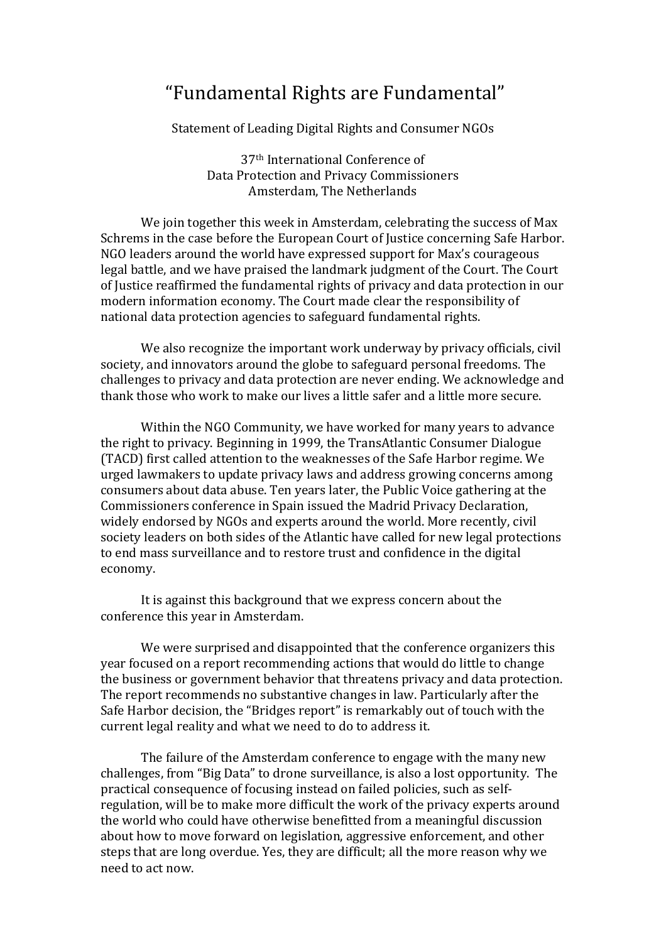## "Fundamental Rights are Fundamental"

Statement of Leading Digital Rights and Consumer NGOs

37th International Conference of Data Protection and Privacy Commissioners Amsterdam, The Netherlands

We join together this week in Amsterdam, celebrating the success of Max Schrems in the case before the European Court of Justice concerning Safe Harbor. NGO leaders around the world have expressed support for Max's courageous legal battle, and we have praised the landmark judgment of the Court. The Court of Justice reaffirmed the fundamental rights of privacy and data protection in our modern information economy. The Court made clear the responsibility of national data protection agencies to safeguard fundamental rights.

We also recognize the important work underway by privacy officials, civil society, and innovators around the globe to safeguard personal freedoms. The challenges to privacy and data protection are never ending. We acknowledge and thank those who work to make our lives a little safer and a little more secure.

Within the NGO Community, we have worked for many vears to advance the right to privacy. Beginning in 1999, the TransAtlantic Consumer Dialogue (TACD) first called attention to the weaknesses of the Safe Harbor regime. We urged lawmakers to update privacy laws and address growing concerns among consumers about data abuse. Ten years later, the Public Voice gathering at the Commissioners conference in Spain issued the Madrid Privacy Declaration, widely endorsed by NGOs and experts around the world. More recently, civil society leaders on both sides of the Atlantic have called for new legal protections to end mass surveillance and to restore trust and confidence in the digital economy.

It is against this background that we express concern about the conference this year in Amsterdam.

We were surprised and disappointed that the conference organizers this year focused on a report recommending actions that would do little to change the business or government behavior that threatens privacy and data protection. The report recommends no substantive changes in law. Particularly after the Safe Harbor decision, the "Bridges report" is remarkably out of touch with the current legal reality and what we need to do to address it.

The failure of the Amsterdam conference to engage with the many new challenges, from "Big Data" to drone surveillance, is also a lost opportunity. The practical consequence of focusing instead on failed policies, such as selfregulation, will be to make more difficult the work of the privacy experts around the world who could have otherwise benefitted from a meaningful discussion about how to move forward on legislation, aggressive enforcement, and other steps that are long overdue. Yes, they are difficult; all the more reason why we need to act now.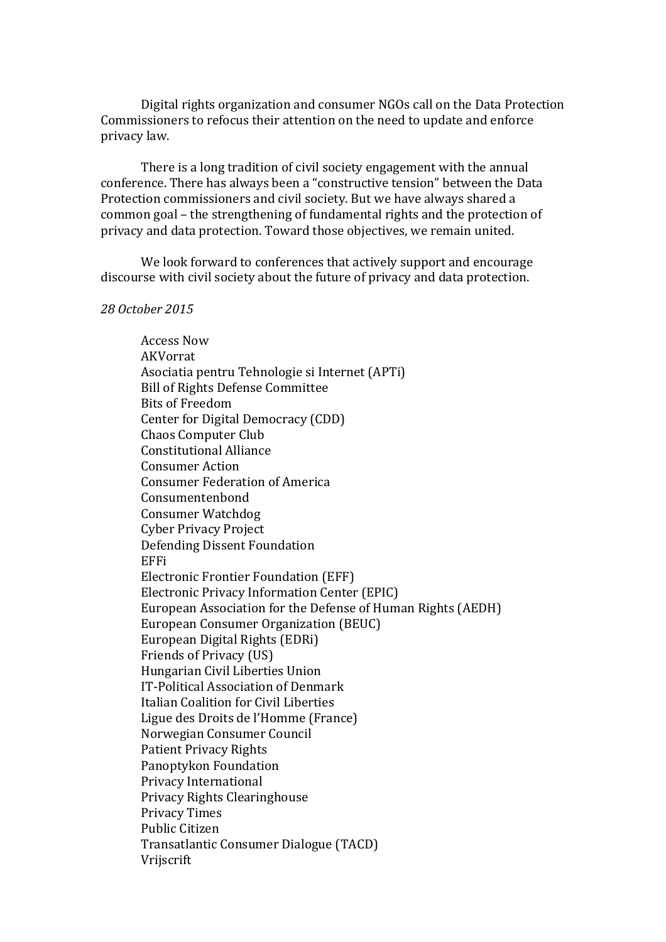Digital rights organization and consumer NGOs call on the Data Protection Commissioners to refocus their attention on the need to update and enforce privacy law.

There is a long tradition of civil society engagement with the annual conference. There has always been a "constructive tension" between the Data Protection commissioners and civil society. But we have always shared a common goal – the strengthening of fundamental rights and the protection of privacy and data protection. Toward those objectives, we remain united.

We look forward to conferences that actively support and encourage discourse with civil society about the future of privacy and data protection.

*28 October 2015*

Access Now AKVorrat Asociatia pentru Tehnologie si Internet (APTi) Bill of Rights Defense Committee Bits of Freedom Center for Digital Democracy (CDD) Chaos Computer Club Constitutional Alliance Consumer Action Consumer Federation of America Consumentenbond Consumer Watchdog Cyber Privacy Project Defending Dissent Foundation EFFi Electronic Frontier Foundation (EFF) Electronic Privacy Information Center (EPIC) European Association for the Defense of Human Rights (AEDH) European Consumer Organization (BEUC) European Digital Rights (EDRi) Friends of Privacy (US) Hungarian Civil Liberties Union IT-Political Association of Denmark Italian Coalition for Civil Liberties Ligue des Droits de l'Homme (France) Norwegian Consumer Council Patient Privacy Rights Panoptykon Foundation Privacy International Privacy Rights Clearinghouse Privacy Times Public Citizen Transatlantic Consumer Dialogue (TACD) Vrijscrift